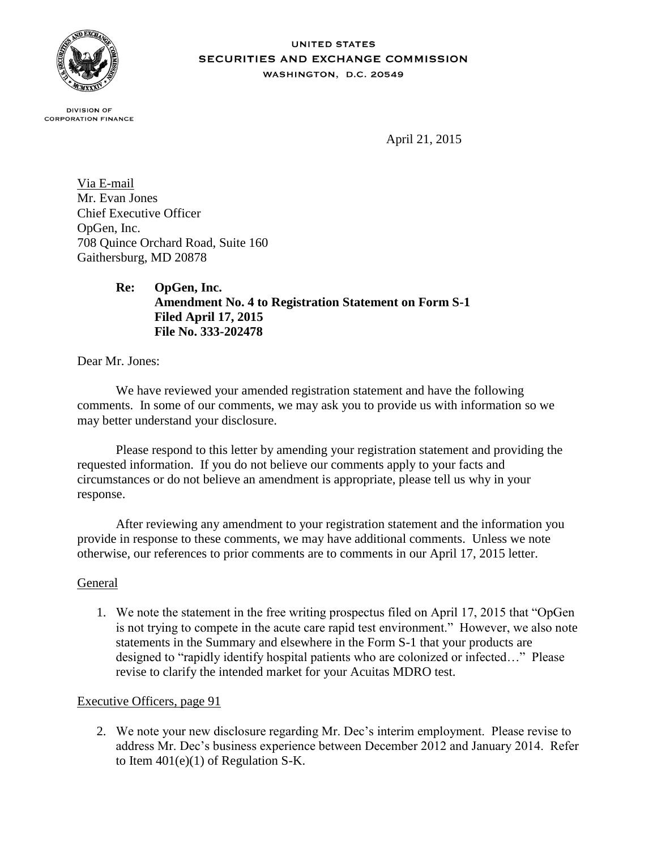

## **UNITED STATES SECURITIES AND EXCHANGE COMMISSION** WASHINGTON, D.C. 20549

**DIVISION OF CORPORATION FINANCE** 

April 21, 2015

Via E-mail Mr. Evan Jones Chief Executive Officer OpGen, Inc. 708 Quince Orchard Road, Suite 160 Gaithersburg, MD 20878

> **Re: OpGen, Inc. Amendment No. 4 to Registration Statement on Form S-1 Filed April 17, 2015 File No. 333-202478**

Dear Mr. Jones:

We have reviewed your amended registration statement and have the following comments. In some of our comments, we may ask you to provide us with information so we may better understand your disclosure.

Please respond to this letter by amending your registration statement and providing the requested information. If you do not believe our comments apply to your facts and circumstances or do not believe an amendment is appropriate, please tell us why in your response.

After reviewing any amendment to your registration statement and the information you provide in response to these comments, we may have additional comments. Unless we note otherwise, our references to prior comments are to comments in our April 17, 2015 letter.

## General

1. We note the statement in the free writing prospectus filed on April 17, 2015 that "OpGen is not trying to compete in the acute care rapid test environment." However, we also note statements in the Summary and elsewhere in the Form S-1 that your products are designed to "rapidly identify hospital patients who are colonized or infected…" Please revise to clarify the intended market for your Acuitas MDRO test.

## Executive Officers, page 91

2. We note your new disclosure regarding Mr. Dec's interim employment. Please revise to address Mr. Dec's business experience between December 2012 and January 2014. Refer to Item  $401(e)(1)$  of Regulation S-K.